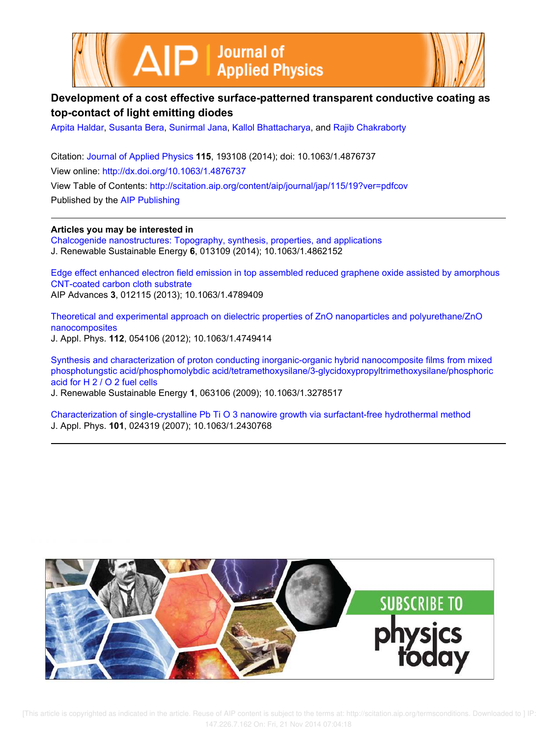



# **Development of a cost effective surface-patterned transparent conductive coating as top-contact of light emitting diodes**

Arpita Haldar, Susanta Bera, Sunirmal Jana, Kallol Bhattacharya, and Rajib Chakraborty

Citation: Journal of Applied Physics **115**, 193108 (2014); doi: 10.1063/1.4876737 View online: http://dx.doi.org/10.1063/1.4876737 View Table of Contents: http://scitation.aip.org/content/aip/journal/jap/115/19?ver=pdfcov Published by the AIP Publishing

**Articles you may be interested in** Chalcogenide nanostructures: Topography, synthesis, properties, and applications J. Renewable Sustainable Energy **6**, 013109 (2014); 10.1063/1.4862152

Edge effect enhanced electron field emission in top assembled reduced graphene oxide assisted by amorphous CNT-coated carbon cloth substrate AIP Advances **3**, 012115 (2013); 10.1063/1.4789409

Theoretical and experimental approach on dielectric properties of ZnO nanoparticles and polyurethane/ZnO nanocomposites J. Appl. Phys. **112**, 054106 (2012); 10.1063/1.4749414

Synthesis and characterization of proton conducting inorganic-organic hybrid nanocomposite films from mixed phosphotungstic acid/phosphomolybdic acid/tetramethoxysilane/3-glycidoxypropyltrimethoxysilane/phosphoric acid for H 2 / O 2 fuel cells

J. Renewable Sustainable Energy **1**, 063106 (2009); 10.1063/1.3278517

Characterization of single-crystalline Pb Ti O 3 nanowire growth via surfactant-free hydrothermal method J. Appl. Phys. **101**, 024319 (2007); 10.1063/1.2430768

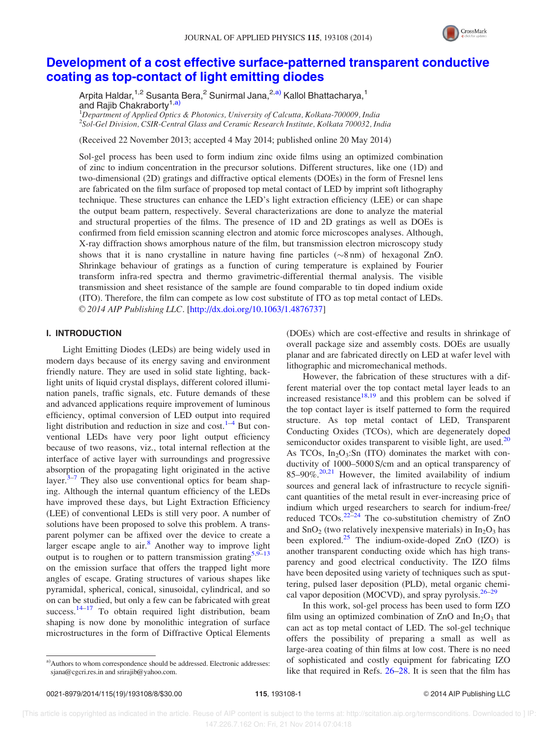

## Development of a cost effective surface-patterned transparent conductive coating as top-contact of light emitting diodes

Arpita Haldar,<sup>1,2</sup> Susanta Bera,<sup>2</sup> Sunirmal Jana,<sup>2,a)</sup> Kallol Bhattacharya,<sup>1</sup> and Rajib Chakrabortv<sup>1,a)</sup> <sup>1</sup>Department of Applied Optics & Photonics, University of Calcutta, Kolkata-700009, India

2 Sol-Gel Division, CSIR-Central Glass and Ceramic Research Institute, Kolkata 700032, India

(Received 22 November 2013; accepted 4 May 2014; published online 20 May 2014)

Sol-gel process has been used to form indium zinc oxide films using an optimized combination of zinc to indium concentration in the precursor solutions. Different structures, like one (1D) and two-dimensional (2D) gratings and diffractive optical elements (DOEs) in the form of Fresnel lens are fabricated on the film surface of proposed top metal contact of LED by imprint soft lithography technique. These structures can enhance the LED's light extraction efficiency (LEE) or can shape the output beam pattern, respectively. Several characterizations are done to analyze the material and structural properties of the films. The presence of 1D and 2D gratings as well as DOEs is confirmed from field emission scanning electron and atomic force microscopes analyses. Although, X-ray diffraction shows amorphous nature of the film, but transmission electron microscopy study shows that it is nano crystalline in nature having fine particles  $(\sim 8 \text{ nm})$  of hexagonal ZnO. Shrinkage behaviour of gratings as a function of curing temperature is explained by Fourier transform infra-red spectra and thermo gravimetric-differential thermal analysis. The visible transmission and sheet resistance of the sample are found comparable to tin doped indium oxide (ITO). Therefore, the film can compete as low cost substitute of ITO as top metal contact of LEDs. V<sup>C</sup> 2014 AIP Publishing LLC. [http://dx.doi.org/10.1063/1.4876737]

#### I. INTRODUCTION

Light Emitting Diodes (LEDs) are being widely used in modern days because of its energy saving and environment friendly nature. They are used in solid state lighting, backlight units of liquid crystal displays, different colored illumination panels, traffic signals, etc. Future demands of these and advanced applications require improvement of luminous efficiency, optimal conversion of LED output into required light distribution and reduction in size and cost.<sup>1–4</sup> But conventional LEDs have very poor light output efficiency because of two reasons, viz., total internal reflection at the interface of active layer with surroundings and progressive absorption of the propagating light originated in the active layer. $3\frac{3}{7}$  They also use conventional optics for beam shaping. Although the internal quantum efficiency of the LEDs have improved these days, but Light Extraction Efficiency (LEE) of conventional LEDs is still very poor. A number of solutions have been proposed to solve this problem. A transparent polymer can be affixed over the device to create a larger escape angle to  $air<sup>8</sup>$  Another way to improve light output is to roughen or to pattern transmission grating<sup>5,9–13</sup> on the emission surface that offers the trapped light more angles of escape. Grating structures of various shapes like pyramidal, spherical, conical, sinusoidal, cylindrical, and so on can be studied, but only a few can be fabricated with great success. $14-17$  To obtain required light distribution, beam shaping is now done by monolithic integration of surface microstructures in the form of Diffractive Optical Elements

(DOEs) which are cost-effective and results in shrinkage of overall package size and assembly costs. DOEs are usually planar and are fabricated directly on LED at wafer level with lithographic and micromechanical methods.

However, the fabrication of these structures with a different material over the top contact metal layer leads to an increased resistance $18,19$  and this problem can be solved if the top contact layer is itself patterned to form the required structure. As top metal contact of LED, Transparent Conducting Oxides (TCOs), which are degenerately doped semiconductor oxides transparent to visible light, are used.<sup>20</sup> As TCOs,  $In_2O_3$ :Sn (ITO) dominates the market with conductivity of 1000–5000 S/cm and an optical transparency of 85–90%. $20,21$  However, the limited availability of indium sources and general lack of infrastructure to recycle significant quantities of the metal result in ever-increasing price of indium which urged researchers to search for indium-free/ reduced  $TCOs.<sup>22–24</sup>$  The co-substitution chemistry of  $ZnO$ and  $SnO<sub>2</sub>$  (two relatively inexpensive materials) in  $In<sub>2</sub>O<sub>3</sub>$  has been explored. $25$  The indium-oxide-doped ZnO (IZO) is another transparent conducting oxide which has high transparency and good electrical conductivity. The IZO films have been deposited using variety of techniques such as sputtering, pulsed laser deposition (PLD), metal organic chemical vapor deposition (MOCVD), and spray pyrolysis. $26-29$ 

In this work, sol-gel process has been used to form IZO film using an optimized combination of ZnO and  $In_2O_3$  that can act as top metal contact of LED. The sol-gel technique offers the possibility of preparing a small as well as large-area coating of thin films at low cost. There is no need of sophisticated and costly equipment for fabricating IZO like that required in Refs. 26–28. It is seen that the film has

<sup>&</sup>lt;sup>a)</sup>Authors to whom correspondence should be addressed. Electronic addresses: sjana@cgcri.res.in and srirajib@yahoo.com.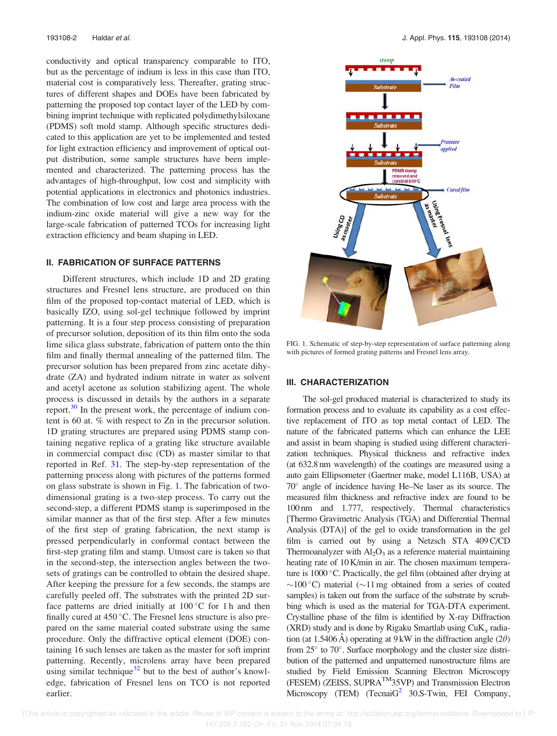conductivity and optical transparency comparable to ITO, but as the percentage of indium is less in this case than ITO, material cost is comparatively less. Thereafter, grating structures of different shapes and DOEs have been fabricated by patterning the proposed top contact layer of the LED by combining imprint technique with replicated polydimethylsiloxane (PDMS) soft mold stamp. Although specific structures dedicated to this application are yet to be implemented and tested for light extraction efficiency and improvement of optical output distribution, some sample structures have been implemented and characterized. The patterning process has the advantages of high-throughput, low cost and simplicity with potential applications in electronics and photonics industries. The combination of low cost and large area process with the indium-zinc oxide material will give a new way for the large-scale fabrication of patterned TCOs for increasing light extraction efficiency and beam shaping in LED.

### II. FABRICATION OF SURFACE PATTERNS

Different structures, which include 1D and 2D grating structures and Fresnel lens structure, are produced on thin film of the proposed top-contact material of LED, which is basically IZO, using sol-gel technique followed by imprint patterning. It is a four step process consisting of preparation of precursor solution, deposition of its thin film onto the soda lime silica glass substrate, fabrication of pattern onto the thin film and finally thermal annealing of the patterned film. The precursor solution has been prepared from zinc acetate dihydrate (ZA) and hydrated indium nitrate in water as solvent and acetyl acetone as solution stabilizing agent. The whole process is discussed in details by the authors in a separate report. $30$  In the present work, the percentage of indium content is 60 at. % with respect to Zn in the precursor solution. 1D grating structures are prepared using PDMS stamp containing negative replica of a grating like structure available in commercial compact disc (CD) as master similar to that reported in Ref. 31. The step-by-step representation of the patterning process along with pictures of the patterns formed on glass substrate is shown in Fig. 1. The fabrication of twodimensional grating is a two-step process. To carry out the second-step, a different PDMS stamp is superimposed in the similar manner as that of the first step. After a few minutes of the first step of grating fabrication, the next stamp is pressed perpendicularly in conformal contact between the first-step grating film and stamp. Utmost care is taken so that in the second-step, the intersection angles between the twosets of gratings can be controlled to obtain the desired shape. After keeping the pressure for a few seconds, the stamps are carefully peeled off. The substrates with the printed 2D surface patterns are dried initially at  $100^{\circ}$ C for 1 h and then finally cured at  $450^{\circ}$ C. The Fresnel lens structure is also prepared on the same material coated substrate using the same procedure. Only the diffractive optical element (DOE) containing 16 such lenses are taken as the master for soft imprint patterning. Recently, microlens array have been prepared using similar technique<sup>32</sup> but to the best of author's knowledge, fabrication of Fresnel lens on TCO is not reported earlier.



FIG. 1. Schematic of step-by-step representation of surface patterning along with pictures of formed grating patterns and Fresnel lens array.

#### III. CHARACTERIZATION

The sol-gel produced material is characterized to study its formation process and to evaluate its capability as a cost effective replacement of ITO as top metal contact of LED. The nature of the fabricated patterns which can enhance the LEE and assist in beam shaping is studied using different characterization techniques. Physical thickness and refractive index (at 632.8 nm wavelength) of the coatings are measured using a auto gain Ellipsometer (Gaertner make, model L116B, USA) at 70 angle of incidence having He–Ne laser as its source. The measured film thickness and refractive index are found to be 100 nm and 1.777, respectively. Thermal characteristics [Thermo Gravimetric Analysis (TGA) and Differential Thermal Analysis (DTA)] of the gel to oxide transformation in the gel film is carried out by using a Netzsch STA 409 C/CD Thermoanalyzer with  $\text{Al}_2\text{O}_3$  as a reference material maintaining heating rate of 10 K/min in air. The chosen maximum temperature is  $1000^{\circ}$ C. Practically, the gel film (obtained after drying at  $\sim$ 100 °C) material ( $\sim$ 11 mg obtained from a series of coated samples) is taken out from the surface of the substrate by scrubbing which is used as the material for TGA-DTA experiment. Crystalline phase of the film is identified by X-ray Diffraction (XRD) study and is done by Rigaku Smartlab using  $CuK_{\alpha}$  radiation (at 1.5406 Å) operating at 9 kW in the diffraction angle  $(2\theta)$ from 25° to 70°. Surface morphology and the cluster size distribution of the patterned and unpatterned nanostructure films are studied by Field Emission Scanning Electron Microscopy (FESEM) (ZEISS, SUPRATM35VP) and Transmission Electron Microscopy (TEM) (TecnaiG<sup>2</sup> 30.S-Twin, FEI Company,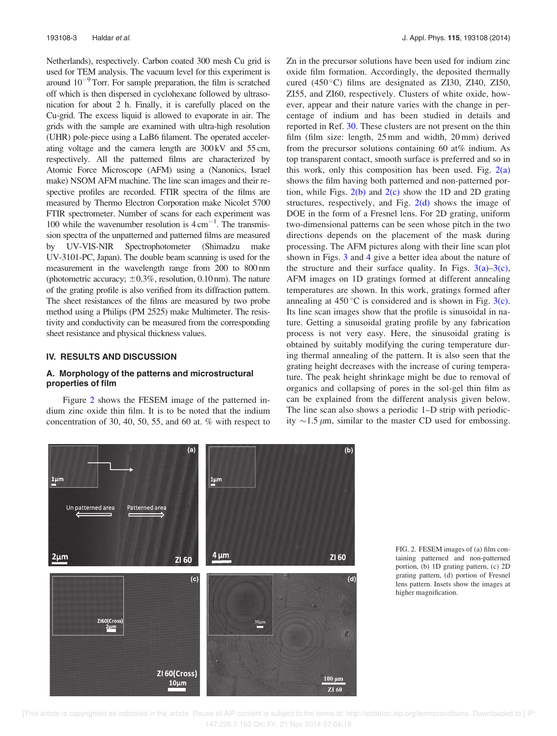Netherlands), respectively. Carbon coated 300 mesh Cu grid is used for TEM analysis. The vacuum level for this experiment is around  $10^{-9}$  Torr. For sample preparation, the film is scratched off which is then dispersed in cyclohexane followed by ultrasonication for about 2 h. Finally, it is carefully placed on the Cu-grid. The excess liquid is allowed to evaporate in air. The grids with the sample are examined with ultra-high resolution (UHR) pole-piece using a LaB6 filament. The operated accelerating voltage and the camera length are 300 kV and 55 cm, respectively. All the patterned films are characterized by Atomic Force Microscope (AFM) using a (Nanonics, Israel make) NSOM AFM machine. The line scan images and their respective profiles are recorded. FTIR spectra of the films are measured by Thermo Electron Corporation make Nicolet 5700 FTIR spectrometer. Number of scans for each experiment was 100 while the wavenumber resolution is  $4 \text{ cm}^{-1}$ . The transmission spectra of the unpatterned and patterned films are measured by UV-VIS-NIR Spectrophotometer (Shimadzu make UV-3101-PC, Japan). The double beam scanning is used for the measurement in the wavelength range from 200 to 800 nm (photometric accuracy;  $\pm 0.3\%$ , resolution, 0.10 nm). The nature of the grating profile is also verified from its diffraction pattern. The sheet resistances of the films are measured by two probe method using a Philips (PM 2525) make Multimeter. The resistivity and conductivity can be measured from the corresponding sheet resistance and physical thickness values.

#### IV. RESULTS AND DISCUSSION

#### A. Morphology of the patterns and microstructural properties of film

Figure 2 shows the FESEM image of the patterned indium zinc oxide thin film. It is to be noted that the indium concentration of 30, 40, 50, 55, and 60 at. % with respect to Zn in the precursor solutions have been used for indium zinc oxide film formation. Accordingly, the deposited thermally cured  $(450^{\circ}$ C) films are designated as ZI30, ZI40, ZI50, ZI55, and ZI60, respectively. Clusters of white oxide, however, appear and their nature varies with the change in percentage of indium and has been studied in details and reported in Ref. 30. These clusters are not present on the thin film (film size: length, 25 mm and width, 20 mm) derived from the precursor solutions containing 60 at% indium. As top transparent contact, smooth surface is preferred and so in this work, only this composition has been used. Fig.  $2(a)$ shows the film having both patterned and non-patterned portion, while Figs.  $2(b)$  and  $2(c)$  show the 1D and 2D grating structures, respectively, and Fig.  $2(d)$  shows the image of DOE in the form of a Fresnel lens. For 2D grating, uniform two-dimensional patterns can be seen whose pitch in the two directions depends on the placement of the mask during processing. The AFM pictures along with their line scan plot shown in Figs. 3 and 4 give a better idea about the nature of the structure and their surface quality. In Figs.  $3(a)-3(c)$ , AFM images on 1D gratings formed at different annealing temperatures are shown. In this work, gratings formed after annealing at  $450^{\circ}$ C is considered and is shown in Fig. 3(c). Its line scan images show that the profile is sinusoidal in nature. Getting a sinusoidal grating profile by any fabrication process is not very easy. Here, the sinusoidal grating is obtained by suitably modifying the curing temperature during thermal annealing of the pattern. It is also seen that the grating height decreases with the increase of curing temperature. The peak height shrinkage might be due to removal of organics and collapsing of pores in the sol-gel thin film as can be explained from the different analysis given below. The line scan also shows a periodic 1–D strip with periodicity  $\sim$ 1.5  $\mu$ m, similar to the master CD used for embossing.





 [This article is copyrighted as indicated in the article. Reuse of AIP content is subject to the terms at: http://scitation.aip.org/termsconditions. Downloaded to ] IP: 147.226.7.162 On: Fri, 21 Nov 2014 07:04:18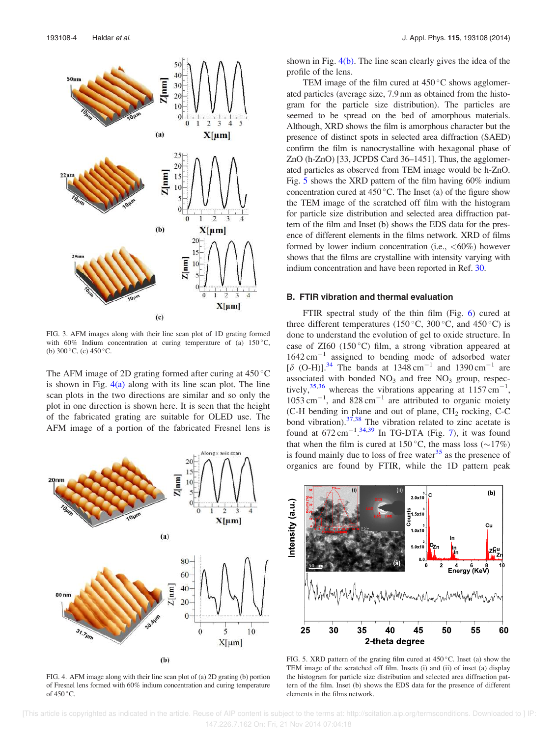

FIG. 3. AFM images along with their line scan plot of 1D grating formed with 60% Indium concentration at curing temperature of (a)  $150^{\circ}$ C, (b)  $300\,^{\circ}$ C, (c)  $450\,^{\circ}$ C.

The AFM image of 2D grating formed after curing at  $450^{\circ}$ C is shown in Fig.  $4(a)$  along with its line scan plot. The line scan plots in the two directions are similar and so only the plot in one direction is shown here. It is seen that the height of the fabricated grating are suitable for OLED use. The AFM image of a portion of the fabricated Fresnel lens is



FIG. 4. AFM image along with their line scan plot of (a) 2D grating (b) portion of Fresnel lens formed with 60% indium concentration and curing temperature of  $450^{\circ}$ C.

shown in Fig. 4(b). The line scan clearly gives the idea of the profile of the lens.

TEM image of the film cured at  $450^{\circ}$ C shows agglomerated particles (average size, 7.9 nm as obtained from the histogram for the particle size distribution). The particles are seemed to be spread on the bed of amorphous materials. Although, XRD shows the film is amorphous character but the presence of distinct spots in selected area diffraction (SAED) confirm the film is nanocrystalline with hexagonal phase of ZnO (h-ZnO) [33, JCPDS Card 36–1451]. Thus, the agglomerated particles as observed from TEM image would be h-ZnO. Fig. 5 shows the XRD pattern of the film having 60% indium concentration cured at  $450^{\circ}$ C. The Inset (a) of the figure show the TEM image of the scratched off film with the histogram for particle size distribution and selected area diffraction pattern of the film and Inset (b) shows the EDS data for the presence of different elements in the films network. XRD of films formed by lower indium concentration (i.e.,  $\langle 60\% \rangle$  however shows that the films are crystalline with intensity varying with indium concentration and have been reported in Ref. 30.

#### B. FTIR vibration and thermal evaluation

FTIR spectral study of the thin film (Fig. 6) cured at three different temperatures (150 °C, 300 °C, and 450 °C) is done to understand the evolution of gel to oxide structure. In case of  $ZI60$  (150 °C) film, a strong vibration appeared at  $1642 \text{ cm}^{-1}$  assigned to bending mode of adsorbed water  $[\delta (O-H)]^{34}$  The bands at 1348 cm<sup>-1</sup> and 1390 cm<sup>-1</sup> are associated with bonded  $NO<sub>3</sub>$  and free  $NO<sub>3</sub>$  group, respectively,<sup>35,36</sup> whereas the vibrations appearing at  $1157 \text{ cm}^{-1}$ ,  $1053 \text{ cm}^{-1}$ , and  $828 \text{ cm}^{-1}$  are attributed to organic moiety  $(C-H)$  bending in plane and out of plane,  $CH<sub>2</sub>$  rocking,  $C-C$ bond vibration). $37,38$  The vibration related to zinc acetate is found at  $672 \text{ cm}^{-1}$ .<sup>34,39</sup> In TG-DTA (Fig. 7), it was found that when the film is cured at 150 °C, the mass loss ( $\sim$ 17%) is found mainly due to loss of free water $35$  as the presence of organics are found by FTIR, while the 1D pattern peak



FIG. 5. XRD pattern of the grating film cured at  $450^{\circ}$ C. Inset (a) show the TEM image of the scratched off film. Insets (i) and (ii) of inset (a) display the histogram for particle size distribution and selected area diffraction pattern of the film. Inset (b) shows the EDS data for the presence of different elements in the films network.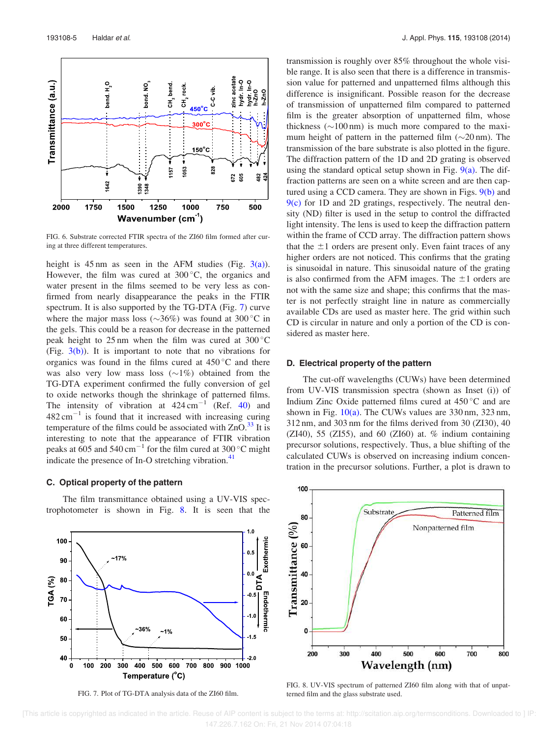

FIG. 6. Substrate corrected FTIR spectra of the ZI60 film formed after curing at three different temperatures.

height is  $45 \text{ nm}$  as seen in the AFM studies (Fig.  $3(a)$ ). However, the film was cured at  $300^{\circ}$ C, the organics and water present in the films seemed to be very less as confirmed from nearly disappearance the peaks in the FTIR spectrum. It is also supported by the TG-DTA (Fig. 7) curve where the major mass loss ( $\sim$ 36%) was found at 300 °C in the gels. This could be a reason for decrease in the patterned peak height to 25 nm when the film was cured at  $300^{\circ}$ C (Fig.  $3(b)$ ). It is important to note that no vibrations for organics was found in the films cured at  $450^{\circ}$ C and there was also very low mass loss  $(\sim 1\%)$  obtained from the TG-DTA experiment confirmed the fully conversion of gel to oxide networks though the shrinkage of patterned films. The intensity of vibration at  $424 \text{ cm}^{-1}$  (Ref. 40) and  $482 \text{ cm}^{-1}$  is found that it increased with increasing curing temperature of the films could be associated with  $ZnO.<sup>33</sup>$  It is interesting to note that the appearance of FTIR vibration peaks at  $605$  and  $540 \text{ cm}^{-1}$  for the film cured at  $300 \degree \text{C}$  might indicate the presence of In-O stretching vibration. $41$ 

#### C. Optical property of the pattern

The film transmittance obtained using a UV-VIS spectrophotometer is shown in Fig. 8. It is seen that the



FIG. 7. Plot of TG-DTA analysis data of the ZI60 film.

transmission is roughly over 85% throughout the whole visible range. It is also seen that there is a difference in transmission value for patterned and unpatterned films although this difference is insignificant. Possible reason for the decrease of transmission of unpatterned film compared to patterned film is the greater absorption of unpatterned film, whose thickness  $(\sim 100 \text{ nm})$  is much more compared to the maximum height of pattern in the patterned film  $(\sim 20 \text{ nm})$ . The transmission of the bare substrate is also plotted in the figure. The diffraction pattern of the 1D and 2D grating is observed using the standard optical setup shown in Fig.  $9(a)$ . The diffraction patterns are seen on a white screen and are then captured using a CCD camera. They are shown in Figs. 9(b) and 9(c) for 1D and 2D gratings, respectively. The neutral density (ND) filter is used in the setup to control the diffracted light intensity. The lens is used to keep the diffraction pattern within the frame of CCD array. The diffraction pattern shows that the  $\pm 1$  orders are present only. Even faint traces of any higher orders are not noticed. This confirms that the grating is sinusoidal in nature. This sinusoidal nature of the grating is also confirmed from the AFM images. The  $\pm 1$  orders are not with the same size and shape; this confirms that the master is not perfectly straight line in nature as commercially available CDs are used as master here. The grid within such CD is circular in nature and only a portion of the CD is considered as master here.

#### D. Electrical property of the pattern

The cut-off wavelengths (CUWs) have been determined from UV-VIS transmission spectra (shown as Inset (i)) of Indium Zinc Oxide patterned films cured at  $450^{\circ}$ C and are shown in Fig.  $10(a)$ . The CUWs values are 330 nm, 323 nm, 312 nm, and 303 nm for the films derived from 30 (ZI30), 40  $(ZI40)$ , 55  $(ZI55)$ , and 60  $(ZI60)$  at. % indium containing precursor solutions, respectively. Thus, a blue shifting of the calculated CUWs is observed on increasing indium concentration in the precursor solutions. Further, a plot is drawn to



FIG. 8. UV-VIS spectrum of patterned ZI60 film along with that of unpatterned film and the glass substrate used.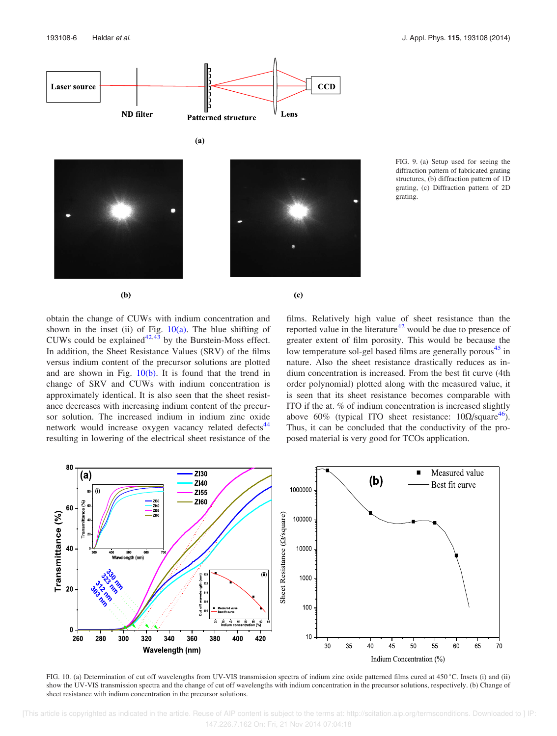





 $(b)$ 



 $\left( \mathrm{c}\right)$ 

FIG. 9. (a) Setup used for seeing the diffraction pattern of fabricated grating structures, (b) diffraction pattern of 1D grating, (c) Diffraction pattern of 2D grating.

obtain the change of CUWs with indium concentration and shown in the inset (ii) of Fig.  $10(a)$ . The blue shifting of CUWs could be explained $42,43$  by the Burstein-Moss effect. In addition, the Sheet Resistance Values (SRV) of the films versus indium content of the precursor solutions are plotted and are shown in Fig.  $10(b)$ . It is found that the trend in change of SRV and CUWs with indium concentration is approximately identical. It is also seen that the sheet resistance decreases with increasing indium content of the precursor solution. The increased indium in indium zinc oxide network would increase oxygen vacancy related defects<sup>44</sup> resulting in lowering of the electrical sheet resistance of the films. Relatively high value of sheet resistance than the reported value in the literature $42$  would be due to presence of greater extent of film porosity. This would be because the low temperature sol-gel based films are generally porous<sup>45</sup> in nature. Also the sheet resistance drastically reduces as indium concentration is increased. From the best fit curve (4th order polynomial) plotted along with the measured value, it is seen that its sheet resistance becomes comparable with ITO if the at. % of indium concentration is increased slightly above 60% (typical ITO sheet resistance:  $10\Omega/\text{square}^{46}$ ). Thus, it can be concluded that the conductivity of the proposed material is very good for TCOs application.



FIG. 10. (a) Determination of cut off wavelengths from UV-VIS transmission spectra of indium zinc oxide patterned films cured at 450 °C. Insets (i) and (ii) show the UV-VIS transmission spectra and the change of cut off wavelengths with indium concentration in the precursor solutions, respectively. (b) Change of sheet resistance with indium concentration in the precursor solutions.

 [This article is copyrighted as indicated in the article. Reuse of AIP content is subject to the terms at: http://scitation.aip.org/termsconditions. Downloaded to ] IP: 147.226.7.162 On: Fri, 21 Nov 2014 07:04:18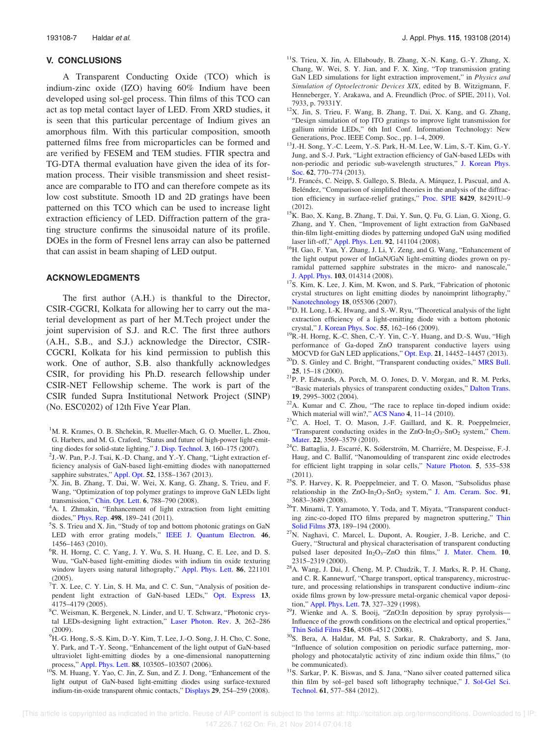#### V. CONCLUSIONS

A Transparent Conducting Oxide (TCO) which is indium-zinc oxide (IZO) having 60% Indium have been developed using sol-gel process. Thin films of this TCO can act as top metal contact layer of LED. From XRD studies, it is seen that this particular percentage of Indium gives an amorphous film. With this particular composition, smooth patterned films free from microparticles can be formed and are verified by FESEM and TEM studies. FTIR spectra and TG-DTA thermal evaluation have given the idea of its formation process. Their visible transmission and sheet resistance are comparable to ITO and can therefore compete as its low cost substitute. Smooth 1D and 2D gratings have been patterned on this TCO which can be used to increase light extraction efficiency of LED. Diffraction pattern of the grating structure confirms the sinusoidal nature of its profile. DOEs in the form of Fresnel lens array can also be patterned that can assist in beam shaping of LED output.

#### ACKNOWLEDGMENTS

The first author (A.H.) is thankful to the Director, CSIR-CGCRI, Kolkata for allowing her to carry out the material development as part of her M.Tech project under the joint supervision of S.J. and R.C. The first three authors (A.H., S.B., and S.J.) acknowledge the Director, CSIR-CGCRI, Kolkata for his kind permission to publish this work. One of author, S.B. also thankfully acknowledges CSIR, for providing his Ph.D. research fellowship under CSIR-NET Fellowship scheme. The work is part of the CSIR funded Supra Institutional Network Project (SINP) (No. ESC0202) of 12th Five Year Plan.

- <sup>1</sup>M. R. Krames, O. B. Shchekin, R. Mueller-Mach, G. O. Mueller, L. Zhou, G. Harbers, and M. G. Craford, "Status and future of high-power light-emitting diodes for solid-state lighting," J. Disp. Technol. 3, 160–175 (2007).
- <sup>2</sup>J.-W. Pan, P.-J. Tsai, K.-D. Chang, and Y.-Y. Chang, "Light extraction efficiency analysis of GaN-based light-emitting diodes with nanopatterned sapphire substrates," Appl. Opt. 52, 1358-1367 (2013).
- $3X$ . Jin, B. Zhang, T. Dai, W. Wei, X. Kang, G. Zhang, S. Trieu, and F. Wang, "Optimization of top polymer gratings to improve GaN LEDs light transmission," Chin. Opt. Lett. 6, 788–790 (2008).
- <sup>4</sup>A. I. Zhmakin, "Enhancement of light extraction from light emitting diodes," Phys. Rep. 498, 189–241 (2011).
- 5 S. S. Trieu and X. Jin, "Study of top and bottom photonic gratings on GaN LED with error grating models," IEEE J. Quantum Electron. 46, 1456–1463 (2010).
- <sup>6</sup>R. H. Horng, C. C. Yang, J. Y. Wu, S. H. Huang, C. E. Lee, and D. S. Wuu, "GaN-based light-emitting diodes with indium tin oxide texturing window layers using natural lithography," Appl. Phys. Lett. 86, 221101 (2005).
- <sup>7</sup>T. X. Lee, C. Y. Lin, S. H. Ma, and C. C. Sun, "Analysis of position dependent light extraction of GaN-based LEDs," Opt. Express 13, 4175–4179 (2005).
- <sup>8</sup>C. Weisman, K. Bergenek, N. Linder, and U. T. Schwarz, "Photonic crystal LEDs-designing light extraction," Laser Photon. Rev. 3, 262–286 (2009).
- <sup>9</sup>H.-G. Hong, S.-S. Kim, D.-Y. Kim, T. Lee, J.-O. Song, J. H. Cho, C. Sone, Y. Park, and T.-Y. Seong, "Enhancement of the light output of GaN-based ultraviolet light-emitting diodes by a one-dimensional nanopatterning process," Appl. Phys. Lett. 88, 103505–103507 (2006).
- <sup>10</sup>S. M. Huang, Y. Yao, C. Jin, Z. Sun, and Z. J. Dong, "Enhancement of the light output of GaN-based light-emitting diodes using surface-textured indium-tin-oxide transparent ohmic contacts," Displays 29, 254–259 (2008).
- <sup>11</sup>S. Trieu, X. Jin, A. Ellaboudy, B. Zhang, X.-N. Kang, G.-Y. Zhang, X. Chang, W. Wei, S. Y. Jian, and F. X. Xing, "Top transmission grating GaN LED simulations for light extraction improvement," in Physics and Simulation of Optoelectronic Devices XIX, edited by B. Witzigmann, F. Henneberger, Y. Arakawa, and A. Freundlich (Proc. of SPIE, 2011), Vol. 7933, p. 79331Y.
- <sup>12</sup>X. Jin, S. Trieu, F. Wang, B. Zhang, T. Dai, X. Kang, and G. Zhang, "Design simulation of top ITO gratings to improve light transmission for gallium nitride LEDs," 6th Intl Conf. Information Technology: New Generations, Proc. IEEE Comp. Soc., pp. 1–4, 2009.
- $13J$ -H. Song, Y.-C. Leem, Y.-S. Park, H.-M. Lee, W. Lim, S.-T. Kim, G.-Y. Jung, and S.-J. Park, "Light extraction efficiency of GaN-based LEDs with non-periodic and periodic sub-wavelength structures," J. Korean Phys. Soc. 62, 770–774 (2013).
- <sup>14</sup>J. Francés, C. Neipp, S. Gallego, S. Bleda, A. Márquez, I. Pascual, and A. Beléndez, "Comparison of simplified theories in the analysis of the diffraction efficiency in surface-relief gratings," Proc. SPIE 8429, 84291U–9 (2012).
- <sup>15</sup>K. Bao, X. Kang, B. Zhang, T. Dai, Y. Sun, Q. Fu, G. Lian, G. Xiong, G. Zhang, and Y. Chen, "Improvement of light extraction from GaNbased thin-film light-emitting diodes by patterning undoped GaN using modified laser lift-off," Appl. Phys. Lett. 92, 141104 (2008).
- <sup>16</sup>H. Gao, F. Yan, Y. Zhang, J. Li, Y. Zeng, and G. Wang, "Enhancement of the light output power of InGaN/GaN light-emitting diodes grown on pyramidal patterned sapphire substrates in the micro- and nanoscale," J. Appl. Phys. 103, 014314 (2008).
- <sup>17</sup>S. Kim, K. Lee, J. Kim, M. Kwon, and S. Park, "Fabrication of photonic crystal structures on light emitting diodes by nanoimprint lithography," Nanotechnology 18, 055306 (2007).
- <sup>18</sup>D. H. Long, I.-K. Hwang, and S.-W. Ryu, "Theoretical analysis of the light extraction efficiency of a light-emitting diode with a bottom photonic crystal," J. Korean Phys. Soc. 55, 162–166 (2009).
- <sup>19</sup>R.-H. Horng, K.-C. Shen, C.-Y. Yin, C.-Y. Huang, and D.-S. Wuu, "High performance of Ga-doped ZnO transparent conductive layers using MOCVD for GaN LED applications," Opt. Exp. 21, 14452–14457 (2013).
- <sup>20</sup>D. S. Ginley and C. Bright, "Transparent conducting oxides," MRS Bull. 25, 15–18 (2000).
- <sup>21</sup>P. P. Edwards, A. Porch, M. O. Jones, D. V. Morgan, and R. M. Perks, "Basic materials physics of transparent conducting oxides," Dalton Trans. 19, 2995–3002 (2004).
- <sup>22</sup>A. Kumar and C. Zhou, "The race to replace tin-doped indium oxide: Which material will win?," ACS Nano 4, 11–14 (2010).
- <sup>23</sup>C. A. Hoel, T. O. Mason, J.-F. Gaillard, and K. R. Poeppelmeier, "Transparent conducting oxides in the ZnO-In<sub>2</sub>O<sub>3</sub>-SnO<sub>2</sub> system," Chem. Mater. 22, 3569–3579 (2010).
- <sup>24</sup>C. Battaglia, J. Escarré, K. Soderstroïn, M. Charriére, M. Despeisse, F.-J. Haug, and C. Ballif, "Nanomoulding of transparent zinc oxide electrodes for efficient light trapping in solar cells," Nature Photon. 5, 535–538 (2011).
- <sup>25</sup>S. P. Harvey, K. R. Poeppelmeier, and T. O. Mason, "Subsolidus phase relationship in the ZnO-In<sub>2</sub>O<sub>3</sub>-SnO<sub>2</sub> system," J. Am. Ceram. Soc. 91, 3683–3689 (2008).
- <sup>26</sup>T. Minami, T. Yamamoto, Y. Toda, and T. Miyata, "Transparent conducting zinc-co-doped ITO films prepared by magnetron sputtering," Thin Solid Films 373, 189–194 (2000).
- <sup>27</sup>N. Naghavi, C. Marcel, L. Dupont, A. Rougier, J.-B. Leriche, and C. Guery, "Structural and physical characterisation of transparent conducting pulsed laser deposited In<sub>2</sub>O<sub>3</sub>-ZnO thin films," J. Mater. Chem. 10, 2315–2319 (2000).
- <sup>28</sup>A. Wang, J. Dai, J. Cheng, M. P. Chudzik, T. J. Marks, R. P. H. Chang, and C. R. Kannewurf, "Charge transport, optical transparency, microstructure, and processing relationships in transparent conductive indium–zinc oxide films grown by low-pressure metal-organic chemical vapor deposition," Appl. Phys. Lett. 73, 327–329 (1998).
- <sup>29</sup>J. Wienke and A. S. Booij, "ZnO:In deposition by spray pyrolysis-Influence of the growth conditions on the electrical and optical properties," Thin Solid Films 516, 4508–4512 (2008).
- <sup>30</sup>S. Bera, A. Haldar, M. Pal, S. Sarkar, R. Chakraborty, and S. Jana, "Influence of solution composition on periodic surface patterning, morphology and photocatalytic activity of zinc indium oxide thin films," (to be communicated).
- <sup>31</sup>S. Sarkar, P. K. Biswas, and S. Jana, "Nano silver coated patterned silica thin film by sol–gel based soft lithography technique," J. Sol-Gel Sci. Technol. 61, 577–584 (2012).